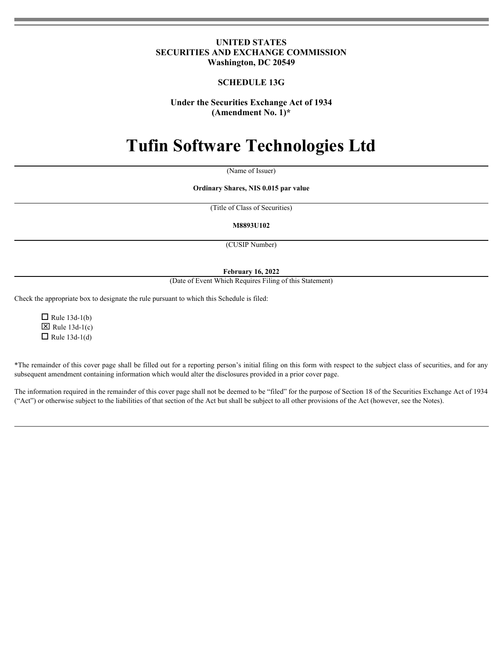# **UNITED STATES SECURITIES AND EXCHANGE COMMISSION Washington, DC 20549**

# **SCHEDULE 13G**

# **Under the Securities Exchange Act of 1934 (Amendment No. 1)\***

# **Tufin Software Technologies Ltd**

(Name of Issuer)

**Ordinary Shares, NIS 0.015 par value**

(Title of Class of Securities)

**M8893U102**

(CUSIP Number)

### **February 16, 2022**

(Date of Event Which Requires Filing of this Statement)

Check the appropriate box to designate the rule pursuant to which this Schedule is filed:

 $\Box$  Rule 13d-1(b)  $\boxtimes$  Rule 13d-1(c)  $\Box$  Rule 13d-1(d)

\*The remainder of this cover page shall be filled out for a reporting person's initial filing on this form with respect to the subject class of securities, and for any subsequent amendment containing information which would alter the disclosures provided in a prior cover page.

The information required in the remainder of this cover page shall not be deemed to be "filed" for the purpose of Section 18 of the Securities Exchange Act of 1934 ("Act") or otherwise subject to the liabilities of that section of the Act but shall be subject to all other provisions of the Act (however, see the Notes).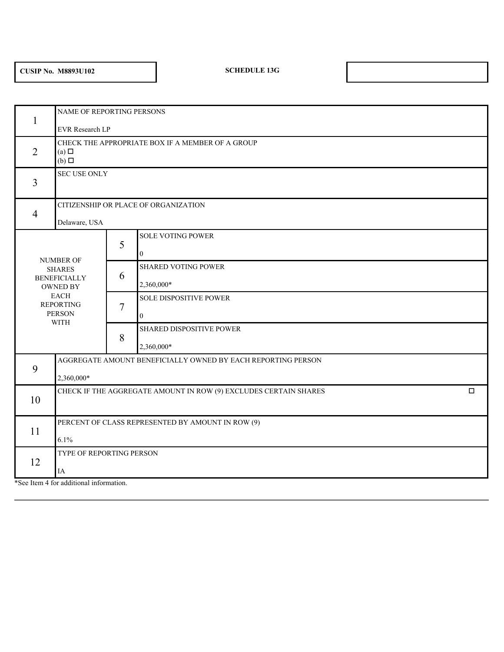# **CUSIP No. M8893U102 SCHEDULE 13G**

 $1 \quad \blacksquare$ NAME OF REPORTING PERSONS EVR Research LP  $2$  (a)  $\Box$ CHECK THE APPROPRIATE BOX IF A MEMBER OF A GROUP (a)  $\Box$ (b)  $\Box$  $3 \left| \right|$ SEC USE ONLY 4 CITIZENSHIP OR PLACE OF ORGANIZATION Delaware, USA NUMBER OF SHARES SHARED VOTING POWER BENEFICIALLY 6 OWNED BY EACH SOLE DISPOSITIVE POWER REPORTING PERSON  $\begin{bmatrix} 1 & 1 \end{bmatrix}$  0 WITH **Executive Contract of the Contract of the Contract of the Contract of the Contract of the Contract of the Contract of the Contract of the Contract of the Contract of the Contract of the Contract of the Contract of th**  $5<sub>1</sub>$ SOLE VOTING POWER 0 6 2,360,000\*  $7 \mid$ 0 8 SHARED DISPOSITIVE POWER 2,360,000\* 9 AGGREGATE AMOUNT BENEFICIALLY OWNED BY EACH REPORTING PERSON 2,360,000\* 10 CHECK IF THE AGGREGATE AMOUNT IN ROW (9) EXCLUDES CERTAIN SHARES  $\square$  $11 \quad \blacksquare$ PERCENT OF CLASS REPRESENTED BY AMOUNT IN ROW (9) 6.1% 12 TYPE OF REPORTING PERSON IA

\*See Item 4 for additional information.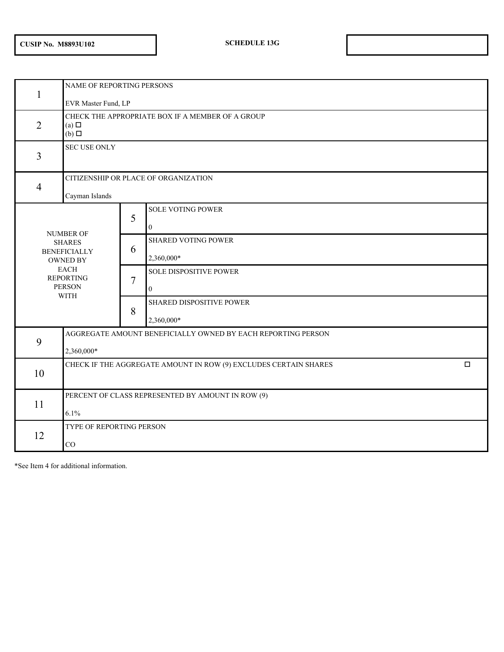|                |                                                                            | NAME OF REPORTING PERSONS |                                                                            |  |  |  |  |  |  |  |
|----------------|----------------------------------------------------------------------------|---------------------------|----------------------------------------------------------------------------|--|--|--|--|--|--|--|
| $\overline{2}$ | EVR Master Fund, LP<br>$(a)$ $\square$<br>$(b)$ $\square$                  |                           | CHECK THE APPROPRIATE BOX IF A MEMBER OF A GROUP                           |  |  |  |  |  |  |  |
| $\overline{3}$ | <b>SEC USE ONLY</b>                                                        |                           |                                                                            |  |  |  |  |  |  |  |
| $\overline{4}$ | CITIZENSHIP OR PLACE OF ORGANIZATION<br>Cayman Islands                     |                           |                                                                            |  |  |  |  |  |  |  |
|                | <b>NUMBER OF</b>                                                           | 5                         | <b>SOLE VOTING POWER</b><br>0                                              |  |  |  |  |  |  |  |
|                | <b>SHARES</b><br><b>BENEFICIALLY</b><br>OWNED BY                           | 6                         | <b>SHARED VOTING POWER</b><br>2,360,000*                                   |  |  |  |  |  |  |  |
|                | EACH<br><b>REPORTING</b><br>PERSON<br><b>WITH</b>                          | $\overline{7}$            | <b>SOLE DISPOSITIVE POWER</b><br>$\overline{0}$                            |  |  |  |  |  |  |  |
|                |                                                                            | 8                         | SHARED DISPOSITIVE POWER<br>2,360,000*                                     |  |  |  |  |  |  |  |
| 9              | AGGREGATE AMOUNT BENEFICIALLY OWNED BY EACH REPORTING PERSON<br>2,360,000* |                           |                                                                            |  |  |  |  |  |  |  |
| 10             |                                                                            |                           | $\Box$<br>CHECK IF THE AGGREGATE AMOUNT IN ROW (9) EXCLUDES CERTAIN SHARES |  |  |  |  |  |  |  |
| 11             | PERCENT OF CLASS REPRESENTED BY AMOUNT IN ROW (9)<br>6.1%                  |                           |                                                                            |  |  |  |  |  |  |  |
| 12             | TYPE OF REPORTING PERSON<br>CO                                             |                           |                                                                            |  |  |  |  |  |  |  |

\*See Item 4 for additional information.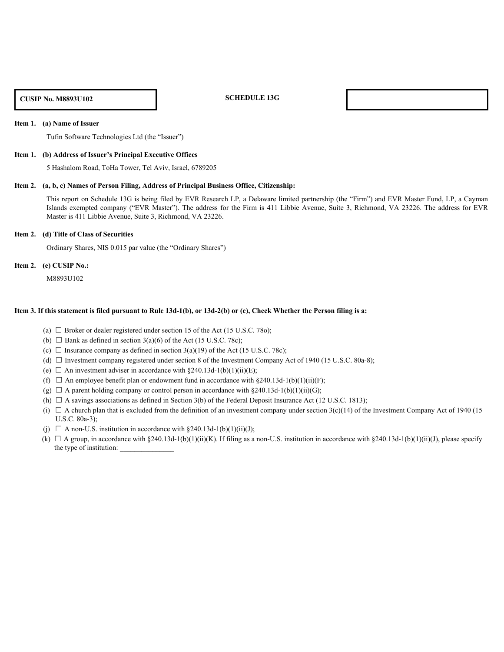### **CUSIP No. M8893U102 SCHEDULE 13G**

### **Item 1. (a) Name of Issuer**

Tufin Software Technologies Ltd (the "Issuer")

### **Item 1. (b) Address of Issuer's Principal Executive Offices**

5 Hashalom Road, ToHa Tower, Tel Aviv, Israel, 6789205

### **Item 2. (a, b, c) Names of Person Filing, Address of Principal Business Office, Citizenship:**

This report on Schedule 13G is being filed by EVR Research LP, a Delaware limited partnership (the "Firm") and EVR Master Fund, LP, a Cayman ISLANDS EXEMPTION CONDUCT THE SCONSIDE COMPANY (THE SCONSIDENT COMPANY (THE SCONSIDENT CREAT THE ADDRESS FOR THE ADDRESS FOR THE ADDRESS FOR THE ADDRESS FOR THE ADDRESS FOR THE ADDRESS FOR THE ADDRESS FOR THE ADDRESS FOR T Master is 411 Libbie Avenue, Suite 3, Richmond, VA 23226.

### **Item 2. (d) Title of Class of Securities**

Ordinary Shares, NIS 0.015 par value (the "Ordinary Shares")

### **Item 2. (e) CUSIP No.:**

M8893U102

### **Item 3. If this statement is filed pursuant to Rule 13d-1(b), or 13d-2(b) or (c), Check Whether the Person filing is a:**

- (a)  $\Box$  Broker or dealer registered under section 15 of the Act (15 U.S.C. 780);
- (b)  $\Box$  Bank as defined in section 3(a)(6) of the Act (15 U.S.C. 78c);
- (c)  $\Box$  Insurance company as defined in section 3(a)(19) of the Act (15 U.S.C. 78c);
- (d)  $\Box$  Investment company registered under section 8 of the Investment Company Act of 1940 (15 U.S.C. 80a-8);
- (e)  $\Box$  An investment adviser in accordance with §240.13d-1(b)(1)(ii)(E);
- (f)  $\Box$  An employee benefit plan or endowment fund in accordance with §240.13d-1(b)(1)(ii)(F);
- (g)  $\Box$  A parent holding company or control person in accordance with §240.13d-1(b)(1)(ii)(G);
- (h)  $\Box$  A savings associations as defined in Section 3(b) of the Federal Deposit Insurance Act (12 U.S.C. 1813);
- (i)  $\Box$  A church plan that is excluded from the definition of an investment company under section 3(c)(14) of the Investment Company Act of 1940 (15) U.S.C. 80a-3);
- (j)  $\Box$  A non-U.S. institution in accordance with §240.13d-1(b)(1)(ii)(J);
- (k)  $\Box$  A group, in accordance with §240.13d-1(b)(1)(ii)(K). If filing as a non-U.S. institution in accordance with §240.13d-1(b)(1)(ii)(J), please specify the type of institution: \_\_\_\_\_\_\_\_\_\_\_\_\_\_\_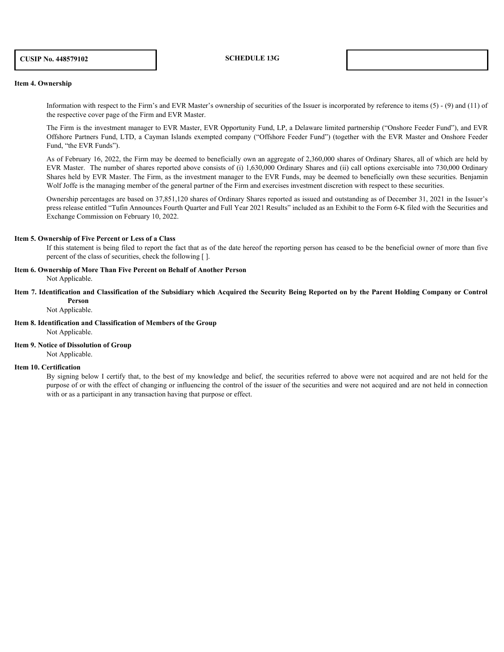# **CUSIP No. 448579102 SCHEDULE 13G**

### **Item 4. Ownership**

Information with respect to the Firm's and EVR Master's ownership of securities of the Issuer is incorporated by reference to items (5) - (9) and (11) of the respective cover page of the Firm and EVR Master.

The Firm is the investment manager to EVR Master, EVR Opportunity Fund, LP, a Delaware limited partnership ("Onshore Feeder Fund"), and EVR Offshore Partners Fund, LTD, a Cayman Islands exempted company ("Offshore Feeder Fund") (together with the EVR Master and Onshore Feeder Fund, "the EVR Funds").

As of February 16, 2022, the Firm may be deemed to beneficially own an aggregate of 2,360,000 shares of Ordinary Shares, all of which are held by EVR Master. The number of shares reported above consists of (i) 1,630,000 Ordinary Shares and (ii) call options exercisable into 730,000 Ordinary Shares held by EVR Master. The Firm, as the investment manager to the EVR Funds, may be deemed to beneficially own these securities. Benjamin Wolf Joffe is the managing member of the general partner of the Firm and exercises investment discretion with respect to these securities.

Ownership percentages are based on 37,851,120 shares of Ordinary Shares reported as issued and outstanding as of December 31, 2021 in the Issuer's press release entitled "Tufin Announces Fourth Quarter and Full Year 2021 Results" included as an Exhibit to the Form 6-K filed with the Securities and Exchange Commission on February 10, 2022.

### **Item 5. Ownership of Five Percent or Less of a Class**

If this statement is being filed to report the fact that as of the date hereof the reporting person has ceased to be the beneficial owner of more than five percent of the class of securities, check the following [ ].

# **Item 6. Ownership of More Than Five Percent on Behalf of Another Person**

Not Applicable.

**Item 7. Identification and Classification of the Subsidiary which Acquired the Security Being Reported on by the Parent Holding Company or Control Person**

Not Applicable.

### **Item 8. Identification and Classification of Members of the Group**

Not Applicable.

**Item 9. Notice of Dissolution of Group** 

Not Applicable.

### **Item 10. Certification**

By signing below I certify that, to the best of my knowledge and belief, the securities referred to above were not acquired and are not held for the purpose of or with the effect of changing or influencing the control of the issuer of the securities and were not acquired and are not held in connection with or as a participant in any transaction having that purpose or effect.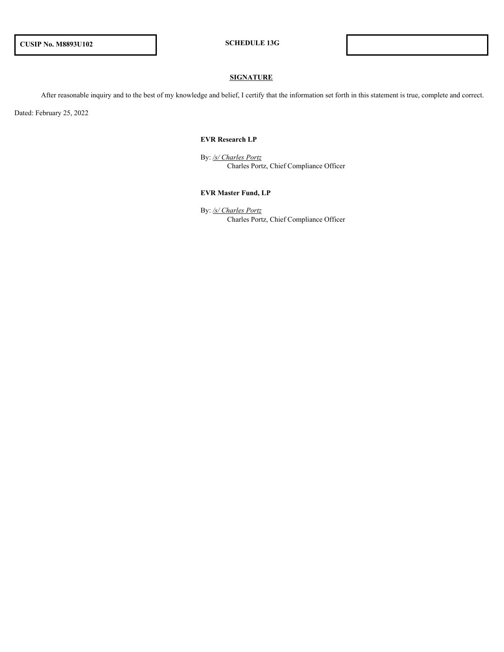# **SIGNATURE**

After reasonable inquiry and to the best of my knowledge and belief, I certify that the information set forth in this statement is true, complete and correct.

Dated: February 25, 2022

### **EVR Research LP**

By: */s/ Charles Portz* Charles Portz, Chief Compliance Officer

## **EVR Master Fund, LP**

By: */s/ Charles Portz* Charles Portz, Chief Compliance Officer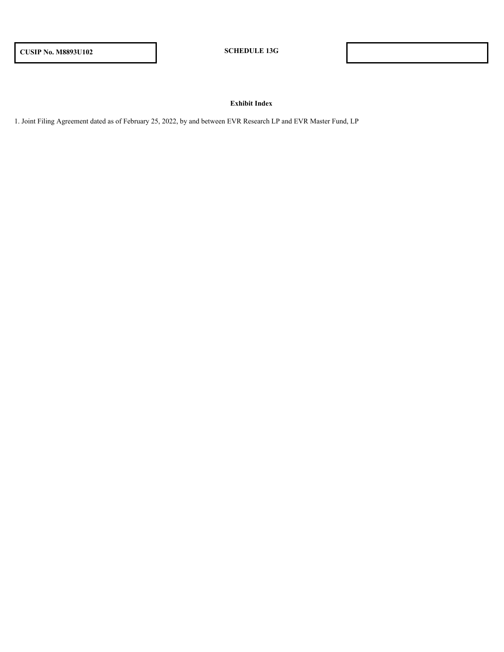# **Exhibit Index**

1. Joint Filing Agreement dated as of February 25, 2022, by and between EVR Research LP and EVR Master Fund, LP